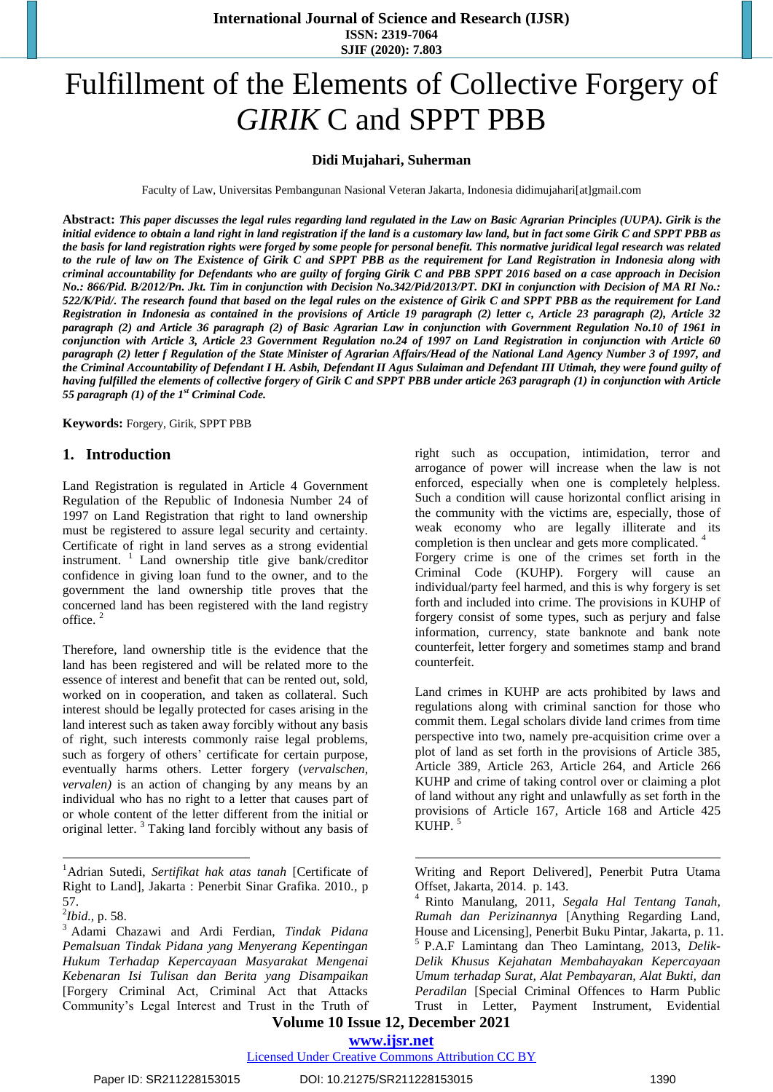**International Journal of Science and Research (IJSR) ISSN: 2319-7064 SJIF (2020): 7.803**

# Fulfillment of the Elements of Collective Forgery of *GIRIK* C and SPPT PBB

# **Didi Mujahari, Suherman**

Faculty of Law, Universitas Pembangunan Nasional Veteran Jakarta, Indonesia didimujahari[at]gmail.com

Abstract: This paper discusses the legal rules regarding land regulated in the Law on Basic Agrarian Principles (UUPA). Girik is the initial evidence to obtain a land right in land registration if the land is a customary law land, but in fact some Girik C and SPPT PBB as the basis for land registration rights were forged by some people for personal benefit. This normative juridical legal research was related to the rule of law on The Existence of Girik C and SPPT PBB as the requirement for Land Registration in Indonesia along with criminal accountability for Defendants who are guilty of forging Girik C and PBB SPPT 2016 based on a case approach in Decision No.: 866/Pid. B/2012/Pn. Jkt. Tim in conjunction with Decision No.342/Pid/2013/PT. DKI in conjunction with Decision of MA RI No.: 522/K/Pid/. The research found that based on the legal rules on the existence of Girik C and SPPT PBB as the requirement for Land Registration in Indonesia as contained in the provisions of Article 19 paragraph (2) letter c, Article 23 paragraph (2), Article 32 paragraph (2) and Article 36 paragraph (2) of Basic Agrarian Law in conjunction with Government Regulation No.10 of 1961 in conjunction with Article 3, Article 23 Government Regulation no.24 of 1997 on Land Registration in conjunction with Article 60 paragraph (2) letter f Regulation of the State Minister of Agrarian Affairs/Head of the National Land Agency Number 3 of 1997, and the Criminal Accountability of Defendant I H. Asbih, Defendant II Agus Sulaiman and Defendant III Utimah, they were found guilty of having fulfilled the elements of collective forgery of Girik C and SPPT PBB under article 263 paragraph (1) in conjunction with Article *55 paragraph (1) of the 1 st Criminal Code.* 

**Keywords:** Forgery, Girik, SPPT PBB

#### **1. Introduction**

Land Registration is regulated in Article 4 Government Regulation of the Republic of Indonesia Number 24 of 1997 on Land Registration that right to land ownership must be registered to assure legal security and certainty. Certificate of right in land serves as a strong evidential instrument. <sup>1</sup> Land ownership title give bank/creditor confidence in giving loan fund to the owner, and to the government the land ownership title proves that the concerned land has been registered with the land registry office. 2

Therefore, land ownership title is the evidence that the land has been registered and will be related more to the essence of interest and benefit that can be rented out, sold, worked on in cooperation, and taken as collateral. Such interest should be legally protected for cases arising in the land interest such as taken away forcibly without any basis of right, such interests commonly raise legal problems, such as forgery of others' certificate for certain purpose, eventually harms others. Letter forgery (*vervalschen, vervalen)* is an action of changing by any means by an individual who has no right to a letter that causes part of or whole content of the letter different from the initial or original letter.<sup>3</sup> Taking land forcibly without any basis of

l

right such as occupation, intimidation, terror and arrogance of power will increase when the law is not enforced, especially when one is completely helpless. Such a condition will cause horizontal conflict arising in the community with the victims are, especially, those of weak economy who are legally illiterate and its completion is then unclear and gets more complicated. 4 Forgery crime is one of the crimes set forth in the Criminal Code (KUHP). Forgery will cause an individual/party feel harmed, and this is why forgery is set forth and included into crime. The provisions in KUHP of forgery consist of some types, such as perjury and false information, currency, state banknote and bank note counterfeit, letter forgery and sometimes stamp and brand counterfeit.

Land crimes in KUHP are acts prohibited by laws and regulations along with criminal sanction for those who commit them. Legal scholars divide land crimes from time perspective into two, namely pre-acquisition crime over a plot of land as set forth in the provisions of Article 385, Article 389, Article 263, Article 264, and Article 266 KUHP and crime of taking control over or claiming a plot of land without any right and unlawfully as set forth in the provisions of Article 167, Article 168 and Article 425 KUHP. 5

Writing and Report Delivered], Penerbit Putra Utama Offset, Jakarta, 2014. p. 143.

**Volume 10 Issue 12, December 2021 www.ijsr.net**

1

# Licensed Under Creative Commons Attribution CC BY

<sup>1</sup>Adrian Sutedi, *Sertifikat hak atas tanah* [Certificate of Right to Land]*,* Jakarta : Penerbit Sinar Grafika. 2010*.*, p 57.

<sup>2</sup> *Ibid.,* p. 58.

<sup>3</sup> Adami Chazawi and Ardi Ferdian, *Tindak Pidana Pemalsuan Tindak Pidana yang Menyerang Kepentingan Hukum Terhadap Kepercayaan Masyarakat Mengenai Kebenaran Isi Tulisan dan Berita yang Disampaikan* [Forgery Criminal Act, Criminal Act that Attacks Community's Legal Interest and Trust in the Truth of

<sup>4</sup> Rinto Manulang, 2011, *Segala Hal Tentang Tanah, Rumah dan Perizinannya* [Anything Regarding Land, House and Licensing], Penerbit Buku Pintar, Jakarta, p. 11. 5 P.A.F Lamintang dan Theo Lamintang, 2013, *Delik-Delik Khusus Kejahatan Membahayakan Kepercayaan Umum terhadap Surat, Alat Pembayaran, Alat Bukti, dan Peradilan* [Special Criminal Offences to Harm Public Trust in Letter, Payment Instrument, Evidential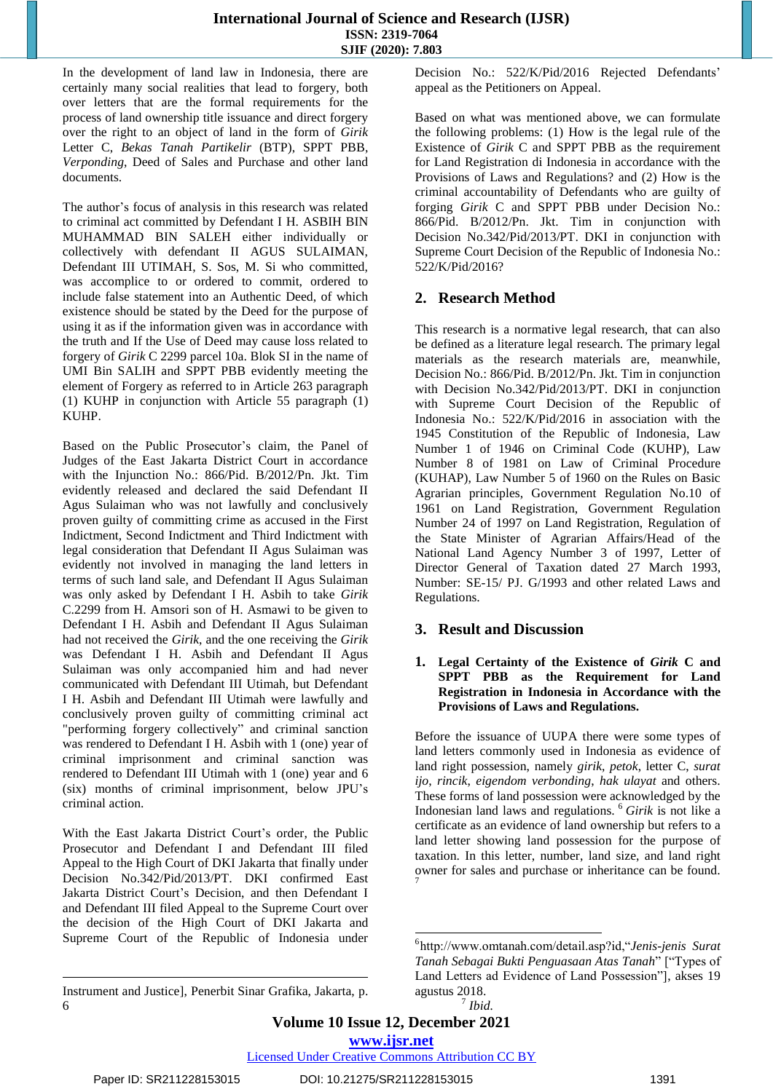In the development of land law in Indonesia, there are certainly many social realities that lead to forgery, both over letters that are the formal requirements for the process of land ownership title issuance and direct forgery over the right to an object of land in the form of *Girik* Letter C, *Bekas Tanah Partikelir* (BTP), SPPT PBB, *Verponding*, Deed of Sales and Purchase and other land documents.

The author's focus of analysis in this research was related to criminal act committed by Defendant I H. ASBIH BIN MUHAMMAD BIN SALEH either individually or collectively with defendant II AGUS SULAIMAN, Defendant III UTIMAH, S. Sos, M. Si who committed, was accomplice to or ordered to commit, ordered to include false statement into an Authentic Deed, of which existence should be stated by the Deed for the purpose of using it as if the information given was in accordance with the truth and If the Use of Deed may cause loss related to forgery of *Girik* C 2299 parcel 10a. Blok SI in the name of UMI Bin SALIH and SPPT PBB evidently meeting the element of Forgery as referred to in Article 263 paragraph (1) KUHP in conjunction with Article 55 paragraph (1) KUHP.

Based on the Public Prosecutor's claim, the Panel of Judges of the East Jakarta District Court in accordance with the Injunction No.: 866/Pid. B/2012/Pn. Jkt. Tim evidently released and declared the said Defendant II Agus Sulaiman who was not lawfully and conclusively proven guilty of committing crime as accused in the First Indictment, Second Indictment and Third Indictment with legal consideration that Defendant II Agus Sulaiman was evidently not involved in managing the land letters in terms of such land sale, and Defendant II Agus Sulaiman was only asked by Defendant I H. Asbih to take *Girik* C.2299 from H. Amsori son of H. Asmawi to be given to Defendant I H. Asbih and Defendant II Agus Sulaiman had not received the *Girik*, and the one receiving the *Girik* was Defendant I H. Asbih and Defendant II Agus Sulaiman was only accompanied him and had never communicated with Defendant III Utimah, but Defendant I H. Asbih and Defendant III Utimah were lawfully and conclusively proven guilty of committing criminal act "performing forgery collectively" and criminal sanction was rendered to Defendant I H. Asbih with 1 (one) year of criminal imprisonment and criminal sanction was rendered to Defendant III Utimah with 1 (one) year and 6 (six) months of criminal imprisonment, below JPU's criminal action.

With the East Jakarta District Court's order, the Public Prosecutor and Defendant I and Defendant III filed Appeal to the High Court of DKI Jakarta that finally under Decision No.342/Pid/2013/PT. DKI confirmed East Jakarta District Court's Decision, and then Defendant I and Defendant III filed Appeal to the Supreme Court over the decision of the High Court of DKI Jakarta and Supreme Court of the Republic of Indonesia under

Instrument and Justice], Penerbit Sinar Grafika, Jakarta, p. 6

Decision No.: 522/K/Pid/2016 Rejected Defendants' appeal as the Petitioners on Appeal.

Based on what was mentioned above, we can formulate the following problems: (1) How is the legal rule of the Existence of *Girik* C and SPPT PBB as the requirement for Land Registration di Indonesia in accordance with the Provisions of Laws and Regulations? and (2) How is the criminal accountability of Defendants who are guilty of forging *Girik* C and SPPT PBB under Decision No.: 866/Pid. B/2012/Pn. Jkt. Tim in conjunction with Decision No.342/Pid/2013/PT. DKI in conjunction with Supreme Court Decision of the Republic of Indonesia No.: 522/K/Pid/2016?

# **2. Research Method**

This research is a normative legal research, that can also be defined as a literature legal research. The primary legal materials as the research materials are, meanwhile, Decision No.: 866/Pid. B/2012/Pn. Jkt. Tim in conjunction with Decision No.342/Pid/2013/PT. DKI in conjunction with Supreme Court Decision of the Republic of Indonesia No.: 522/K/Pid/2016 in association with the 1945 Constitution of the Republic of Indonesia, Law Number 1 of 1946 on Criminal Code (KUHP), Law Number 8 of 1981 on Law of Criminal Procedure (KUHAP), Law Number 5 of 1960 on the Rules on Basic Agrarian principles, Government Regulation No.10 of 1961 on Land Registration, Government Regulation Number 24 of 1997 on Land Registration, Regulation of the State Minister of Agrarian Affairs/Head of the National Land Agency Number 3 of 1997, Letter of Director General of Taxation dated 27 March 1993, Number: SE-15/ PJ. G/1993 and other related Laws and Regulations.

# **3. Result and Discussion**

# **1. Legal Certainty of the Existence of** *Girik* **C and SPPT PBB as the Requirement for Land Registration in Indonesia in Accordance with the Provisions of Laws and Regulations.**

Before the issuance of UUPA there were some types of land letters commonly used in Indonesia as evidence of land right possession, namely *girik*, *petok*, letter C, *surat ijo*, *rincik*, *eigendom verbonding*, *hak ulayat* and others. These forms of land possession were acknowledged by the Indonesian land laws and regulations. <sup>6</sup> *Girik* is not like a certificate as an evidence of land ownership but refers to a land letter showing land possession for the purpose of taxation. In this letter, number, land size, and land right owner for sales and purchase or inheritance can be found. 7

**Volume 10 Issue 12, December 2021**

**www.ijsr.net**

Licensed Under Creative Commons Attribution CC BY

l

<sup>1</sup> 6 http://www.omtanah.com/detail.asp?id,"*Jenis-jenis Surat Tanah Sebagai Bukti Penguasaan Atas Tanah*" ["Types of Land Letters ad Evidence of Land Possession"], akses 19 agustus 2018.

<sup>7</sup> *Ibid.*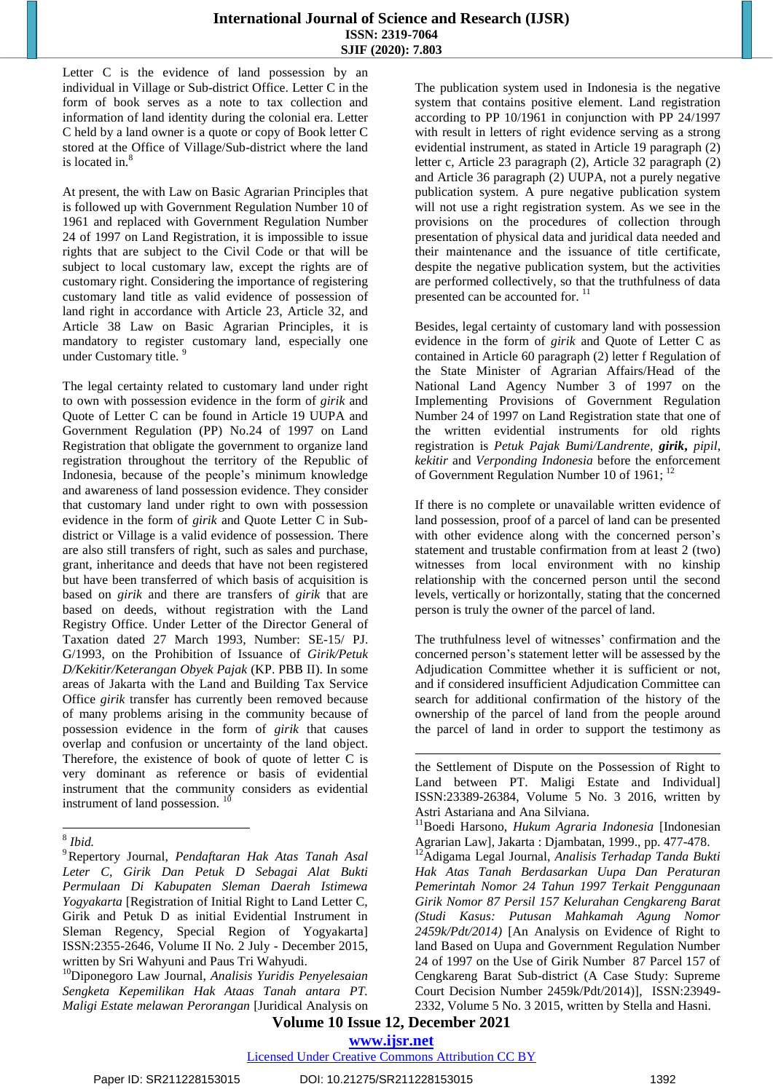Letter C is the evidence of land possession by an individual in Village or Sub-district Office. Letter C in the form of book serves as a note to tax collection and information of land identity during the colonial era. Letter C held by a land owner is a quote or copy of Book letter C stored at the Office of Village/Sub-district where the land is located in. 8

At present, the with Law on Basic Agrarian Principles that is followed up with Government Regulation Number 10 of 1961 and replaced with Government Regulation Number 24 of 1997 on Land Registration, it is impossible to issue rights that are subject to the Civil Code or that will be subject to local customary law, except the rights are of customary right. Considering the importance of registering customary land title as valid evidence of possession of land right in accordance with Article 23, Article 32, and Article 38 Law on Basic Agrarian Principles, it is mandatory to register customary land, especially one under Customary title.<sup>9</sup>

The legal certainty related to customary land under right to own with possession evidence in the form of *girik* and Quote of Letter C can be found in Article 19 UUPA and Government Regulation (PP) No.24 of 1997 on Land Registration that obligate the government to organize land registration throughout the territory of the Republic of Indonesia, because of the people's minimum knowledge and awareness of land possession evidence. They consider that customary land under right to own with possession evidence in the form of *girik* and Quote Letter C in Subdistrict or Village is a valid evidence of possession. There are also still transfers of right, such as sales and purchase, grant, inheritance and deeds that have not been registered but have been transferred of which basis of acquisition is based on *girik* and there are transfers of *girik* that are based on deeds, without registration with the Land Registry Office. Under Letter of the Director General of Taxation dated 27 March 1993, Number: SE-15/ PJ. G/1993, on the Prohibition of Issuance of *Girik/Petuk D/Kekitir/Keterangan Obyek Pajak* (KP. PBB II). In some areas of Jakarta with the Land and Building Tax Service Office *girik* transfer has currently been removed because of many problems arising in the community because of possession evidence in the form of *girik* that causes overlap and confusion or uncertainty of the land object. Therefore, the existence of book of quote of letter C is very dominant as reference or basis of evidential instrument that the community considers as evidential instrument of land possession.<sup>10</sup>

<sup>10</sup>Diponegoro Law Journal, *Analisis Yuridis Penyelesaian Sengketa Kepemilikan Hak Ataas Tanah antara PT. Maligi Estate melawan Perorangan* [Juridical Analysis on

The publication system used in Indonesia is the negative system that contains positive element. Land registration according to PP 10/1961 in conjunction with PP 24/1997 with result in letters of right evidence serving as a strong evidential instrument, as stated in Article 19 paragraph (2) letter c, Article 23 paragraph (2), Article 32 paragraph (2) and Article 36 paragraph (2) UUPA, not a purely negative publication system. A pure negative publication system will not use a right registration system. As we see in the provisions on the procedures of collection through presentation of physical data and juridical data needed and their maintenance and the issuance of title certificate, despite the negative publication system, but the activities are performed collectively, so that the truthfulness of data presented can be accounted for.<sup>11</sup>

Besides, legal certainty of customary land with possession evidence in the form of *girik* and Quote of Letter C as contained in Article 60 paragraph (2) letter f Regulation of the State Minister of Agrarian Affairs/Head of the National Land Agency Number 3 of 1997 on the Implementing Provisions of Government Regulation Number 24 of 1997 on Land Registration state that one of the written evidential instruments for old rights registration is *Petuk Pajak Bumi/Landrente*, *girik***,** *pipil*, *kekitir* and *Verponding Indonesia* before the enforcement of Government Regulation Number 10 of 1961; <sup>12</sup>

If there is no complete or unavailable written evidence of land possession, proof of a parcel of land can be presented with other evidence along with the concerned person's statement and trustable confirmation from at least 2 (two) witnesses from local environment with no kinship relationship with the concerned person until the second levels, vertically or horizontally, stating that the concerned person is truly the owner of the parcel of land.

The truthfulness level of witnesses' confirmation and the concerned person's statement letter will be assessed by the Adjudication Committee whether it is sufficient or not, and if considered insufficient Adjudication Committee can search for additional confirmation of the history of the ownership of the parcel of land from the people around the parcel of land in order to support the testimony as

# **Volume 10 Issue 12, December 2021 www.ijsr.net**

-

# Licensed Under Creative Commons Attribution CC BY

 8 *Ibid.*

<sup>9</sup>Repertory Journal, *Pendaftaran Hak Atas Tanah Asal Leter C, Girik Dan Petuk D Sebagai Alat Bukti Permulaan Di Kabupaten Sleman Daerah Istimewa Yogyakarta* [Registration of Initial Right to Land Letter C, Girik and Petuk D as initial Evidential Instrument in Sleman Regency, Special Region of Yogyakarta] ISSN:2355-2646, Volume II No. 2 July - December 2015, written by Sri Wahyuni and Paus Tri Wahyudi.

the Settlement of Dispute on the Possession of Right to Land between PT. Maligi Estate and Individual] ISSN:23389-26384, Volume 5 No. 3 2016, written by Astri Astariana and Ana Silviana.

<sup>11</sup>Boedi Harsono, *Hukum Agraria Indonesia* [Indonesian Agrarian Law], Jakarta : Djambatan, 1999., pp. 477-478.

<sup>12</sup>Adigama Legal Journal, *Analisis Terhadap Tanda Bukti Hak Atas Tanah Berdasarkan Uupa Dan Peraturan Pemerintah Nomor 24 Tahun 1997 Terkait Penggunaan Girik Nomor 87 Persil 157 Kelurahan Cengkareng Barat (Studi Kasus: Putusan Mahkamah Agung Nomor 2459k/Pdt/2014)* [An Analysis on Evidence of Right to land Based on Uupa and Government Regulation Number 24 of 1997 on the Use of Girik Number 87 Parcel 157 of Cengkareng Barat Sub-district (A Case Study: Supreme Court Decision Number 2459k/Pdt/2014)], ISSN:23949- 2332, Volume 5 No. 3 2015, written by Stella and Hasni.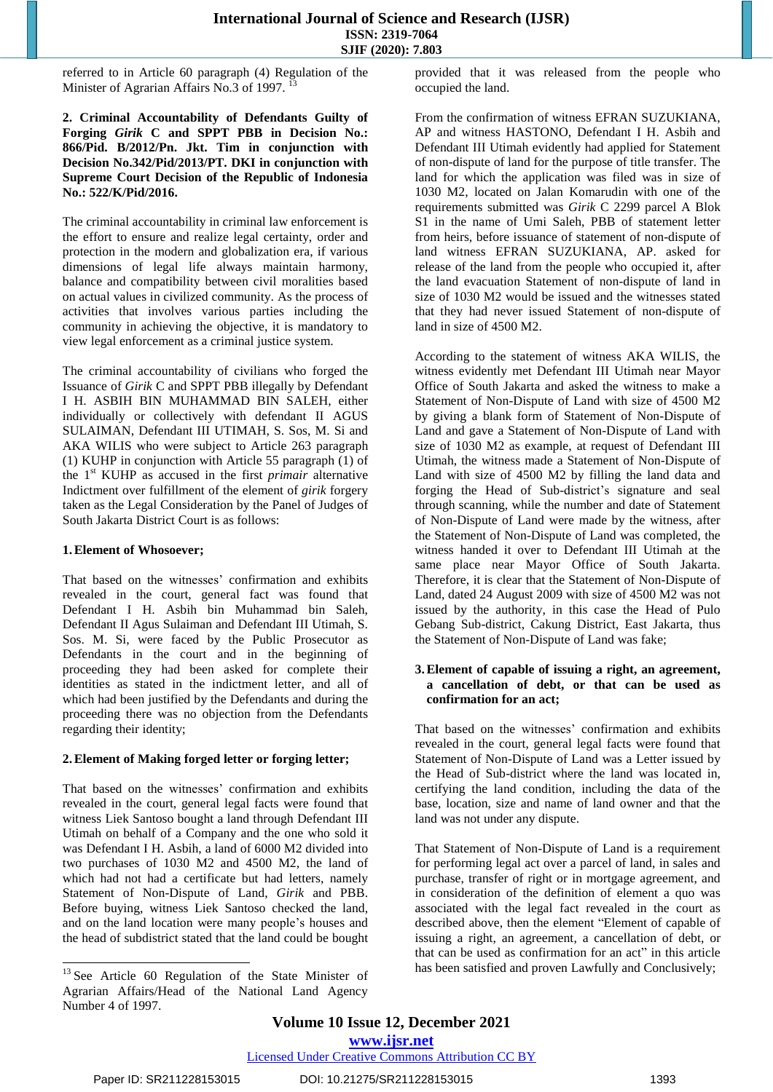referred to in Article 60 paragraph (4) Regulation of the Minister of Agrarian Affairs No.3 of 1997.<sup>13</sup>

# **2. Criminal Accountability of Defendants Guilty of Forging** *Girik* **C and SPPT PBB in Decision No.: 866/Pid. B/2012/Pn. Jkt. Tim in conjunction with Decision No.342/Pid/2013/PT. DKI in conjunction with Supreme Court Decision of the Republic of Indonesia No.: 522/K/Pid/2016.**

The criminal accountability in criminal law enforcement is the effort to ensure and realize legal certainty, order and protection in the modern and globalization era, if various dimensions of legal life always maintain harmony, balance and compatibility between civil moralities based on actual values in civilized community. As the process of activities that involves various parties including the community in achieving the objective, it is mandatory to view legal enforcement as a criminal justice system.

The criminal accountability of civilians who forged the Issuance of *Girik* C and SPPT PBB illegally by Defendant I H. ASBIH BIN MUHAMMAD BIN SALEH, either individually or collectively with defendant II AGUS SULAIMAN, Defendant III UTIMAH, S. Sos, M. Si and AKA WILIS who were subject to Article 263 paragraph (1) KUHP in conjunction with Article 55 paragraph (1) of the 1 st KUHP as accused in the first *primair* alternative Indictment over fulfillment of the element of *girik* forgery taken as the Legal Consideration by the Panel of Judges of South Jakarta District Court is as follows:

## **1.Element of Whosoever;**

That based on the witnesses' confirmation and exhibits revealed in the court, general fact was found that Defendant I H. Asbih bin Muhammad bin Saleh, Defendant II Agus Sulaiman and Defendant III Utimah, S. Sos. M. Si, were faced by the Public Prosecutor as Defendants in the court and in the beginning of proceeding they had been asked for complete their identities as stated in the indictment letter, and all of which had been justified by the Defendants and during the proceeding there was no objection from the Defendants regarding their identity;

## **2.Element of Making forged letter or forging letter;**

That based on the witnesses' confirmation and exhibits revealed in the court, general legal facts were found that witness Liek Santoso bought a land through Defendant III Utimah on behalf of a Company and the one who sold it was Defendant I H. Asbih, a land of 6000 M2 divided into two purchases of 1030 M2 and 4500 M2, the land of which had not had a certificate but had letters, namely Statement of Non-Dispute of Land, *Girik* and PBB. Before buying, witness Liek Santoso checked the land, and on the land location were many people's houses and the head of subdistrict stated that the land could be bought provided that it was released from the people who occupied the land.

From the confirmation of witness EFRAN SUZUKIANA, AP and witness HASTONO, Defendant I H. Asbih and Defendant III Utimah evidently had applied for Statement of non-dispute of land for the purpose of title transfer. The land for which the application was filed was in size of 1030 M2, located on Jalan Komarudin with one of the requirements submitted was *Girik* C 2299 parcel A Blok S1 in the name of Umi Saleh, PBB of statement letter from heirs, before issuance of statement of non-dispute of land witness EFRAN SUZUKIANA, AP. asked for release of the land from the people who occupied it, after the land evacuation Statement of non-dispute of land in size of 1030 M2 would be issued and the witnesses stated that they had never issued Statement of non-dispute of land in size of 4500 M2.

According to the statement of witness AKA WILIS, the witness evidently met Defendant III Utimah near Mayor Office of South Jakarta and asked the witness to make a Statement of Non-Dispute of Land with size of 4500 M2 by giving a blank form of Statement of Non-Dispute of Land and gave a Statement of Non-Dispute of Land with size of 1030 M2 as example, at request of Defendant III Utimah, the witness made a Statement of Non-Dispute of Land with size of 4500 M2 by filling the land data and forging the Head of Sub-district's signature and seal through scanning, while the number and date of Statement of Non-Dispute of Land were made by the witness, after the Statement of Non-Dispute of Land was completed, the witness handed it over to Defendant III Utimah at the same place near Mayor Office of South Jakarta. Therefore, it is clear that the Statement of Non-Dispute of Land, dated 24 August 2009 with size of 4500 M2 was not issued by the authority, in this case the Head of Pulo Gebang Sub-district, Cakung District, East Jakarta, thus the Statement of Non-Dispute of Land was fake;

## **3.Element of capable of issuing a right, an agreement, a cancellation of debt, or that can be used as confirmation for an act;**

That based on the witnesses' confirmation and exhibits revealed in the court, general legal facts were found that Statement of Non-Dispute of Land was a Letter issued by the Head of Sub-district where the land was located in, certifying the land condition, including the data of the base, location, size and name of land owner and that the land was not under any dispute.

That Statement of Non-Dispute of Land is a requirement for performing legal act over a parcel of land, in sales and purchase, transfer of right or in mortgage agreement, and in consideration of the definition of element a quo was associated with the legal fact revealed in the court as described above, then the element "Element of capable of issuing a right, an agreement, a cancellation of debt, or that can be used as confirmation for an act" in this article has been satisfied and proven Lawfully and Conclusively;

l

<sup>&</sup>lt;sup>13</sup> See Article 60 Regulation of the State Minister of Agrarian Affairs/Head of the National Land Agency Number 4 of 1997.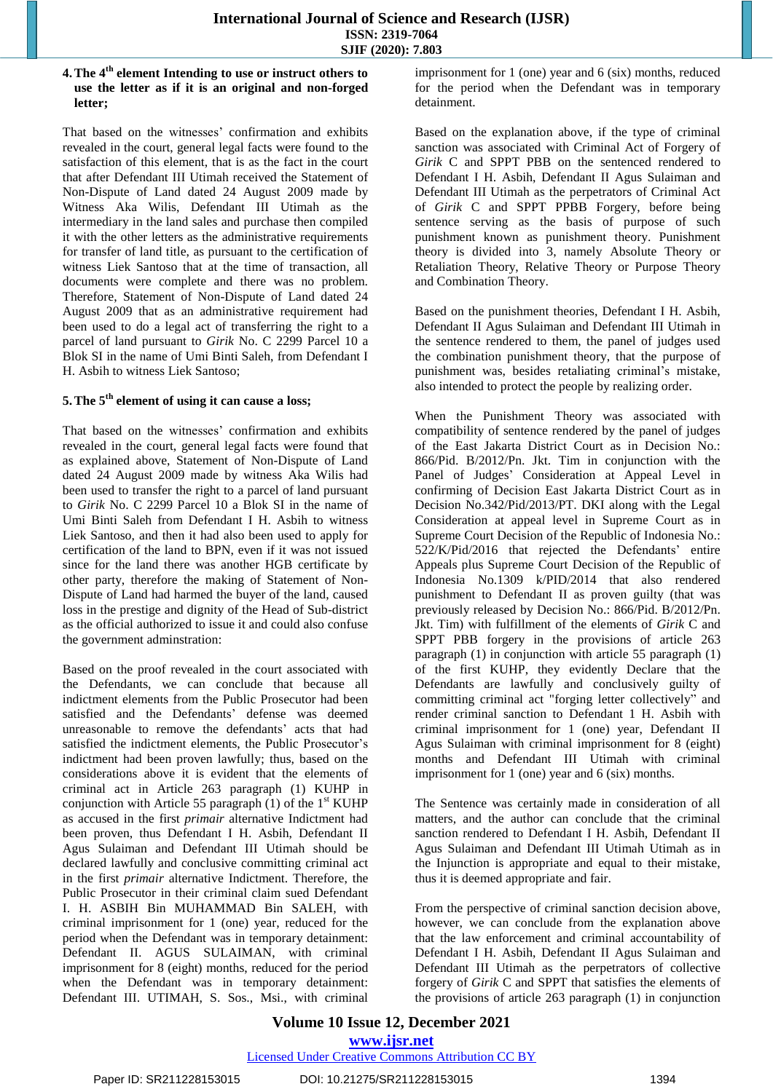#### **4.The 4 th element Intending to use or instruct others to use the letter as if it is an original and non-forged letter;**

That based on the witnesses' confirmation and exhibits revealed in the court, general legal facts were found to the satisfaction of this element, that is as the fact in the court that after Defendant III Utimah received the Statement of Non-Dispute of Land dated 24 August 2009 made by Witness Aka Wilis, Defendant III Utimah as the intermediary in the land sales and purchase then compiled it with the other letters as the administrative requirements for transfer of land title, as pursuant to the certification of witness Liek Santoso that at the time of transaction, all documents were complete and there was no problem. Therefore, Statement of Non-Dispute of Land dated 24 August 2009 that as an administrative requirement had been used to do a legal act of transferring the right to a parcel of land pursuant to *Girik* No. C 2299 Parcel 10 a Blok SI in the name of Umi Binti Saleh, from Defendant I H. Asbih to witness Liek Santoso;

# **5.The 5 th element of using it can cause a loss;**

That based on the witnesses' confirmation and exhibits revealed in the court, general legal facts were found that as explained above, Statement of Non-Dispute of Land dated 24 August 2009 made by witness Aka Wilis had been used to transfer the right to a parcel of land pursuant to *Girik* No. C 2299 Parcel 10 a Blok SI in the name of Umi Binti Saleh from Defendant I H. Asbih to witness Liek Santoso, and then it had also been used to apply for certification of the land to BPN, even if it was not issued since for the land there was another HGB certificate by other party, therefore the making of Statement of Non-Dispute of Land had harmed the buyer of the land, caused loss in the prestige and dignity of the Head of Sub-district as the official authorized to issue it and could also confuse the government adminstration:

Based on the proof revealed in the court associated with the Defendants, we can conclude that because all indictment elements from the Public Prosecutor had been satisfied and the Defendants' defense was deemed unreasonable to remove the defendants' acts that had satisfied the indictment elements, the Public Prosecutor's indictment had been proven lawfully; thus, based on the considerations above it is evident that the elements of criminal act in Article 263 paragraph (1) KUHP in conjunction with Article 55 paragraph  $(1)$  of the 1<sup>st</sup> KUHP as accused in the first *primair* alternative Indictment had been proven, thus Defendant I H. Asbih, Defendant II Agus Sulaiman and Defendant III Utimah should be declared lawfully and conclusive committing criminal act in the first *primair* alternative Indictment. Therefore, the Public Prosecutor in their criminal claim sued Defendant I. H. ASBIH Bin MUHAMMAD Bin SALEH, with criminal imprisonment for 1 (one) year, reduced for the period when the Defendant was in temporary detainment: Defendant II. AGUS SULAIMAN, with criminal imprisonment for 8 (eight) months, reduced for the period when the Defendant was in temporary detainment: Defendant III. UTIMAH, S. Sos., Msi., with criminal imprisonment for 1 (one) year and 6 (six) months, reduced for the period when the Defendant was in temporary detainment.

Based on the explanation above, if the type of criminal sanction was associated with Criminal Act of Forgery of *Girik* C and SPPT PBB on the sentenced rendered to Defendant I H. Asbih, Defendant II Agus Sulaiman and Defendant III Utimah as the perpetrators of Criminal Act of *Girik* C and SPPT PPBB Forgery, before being sentence serving as the basis of purpose of such punishment known as punishment theory. Punishment theory is divided into 3, namely Absolute Theory or Retaliation Theory, Relative Theory or Purpose Theory and Combination Theory.

Based on the punishment theories, Defendant I H. Asbih, Defendant II Agus Sulaiman and Defendant III Utimah in the sentence rendered to them, the panel of judges used the combination punishment theory, that the purpose of punishment was, besides retaliating criminal's mistake, also intended to protect the people by realizing order.

When the Punishment Theory was associated with compatibility of sentence rendered by the panel of judges of the East Jakarta District Court as in Decision No.: 866/Pid. B/2012/Pn. Jkt. Tim in conjunction with the Panel of Judges' Consideration at Appeal Level in confirming of Decision East Jakarta District Court as in Decision No.342/Pid/2013/PT. DKI along with the Legal Consideration at appeal level in Supreme Court as in Supreme Court Decision of the Republic of Indonesia No.: 522/K/Pid/2016 that rejected the Defendants' entire Appeals plus Supreme Court Decision of the Republic of Indonesia No.1309 k/PID/2014 that also rendered punishment to Defendant II as proven guilty (that was previously released by Decision No.: 866/Pid. B/2012/Pn. Jkt. Tim) with fulfillment of the elements of *Girik* C and SPPT PBB forgery in the provisions of article 263 paragraph (1) in conjunction with article 55 paragraph (1) of the first KUHP, they evidently Declare that the Defendants are lawfully and conclusively guilty of committing criminal act "forging letter collectively" and render criminal sanction to Defendant 1 H. Asbih with criminal imprisonment for 1 (one) year, Defendant II Agus Sulaiman with criminal imprisonment for 8 (eight) months and Defendant III Utimah with criminal imprisonment for 1 (one) year and 6 (six) months.

The Sentence was certainly made in consideration of all matters, and the author can conclude that the criminal sanction rendered to Defendant I H. Asbih, Defendant II Agus Sulaiman and Defendant III Utimah Utimah as in the Injunction is appropriate and equal to their mistake, thus it is deemed appropriate and fair.

From the perspective of criminal sanction decision above, however, we can conclude from the explanation above that the law enforcement and criminal accountability of Defendant I H. Asbih, Defendant II Agus Sulaiman and Defendant III Utimah as the perpetrators of collective forgery of *Girik* C and SPPT that satisfies the elements of the provisions of article 263 paragraph (1) in conjunction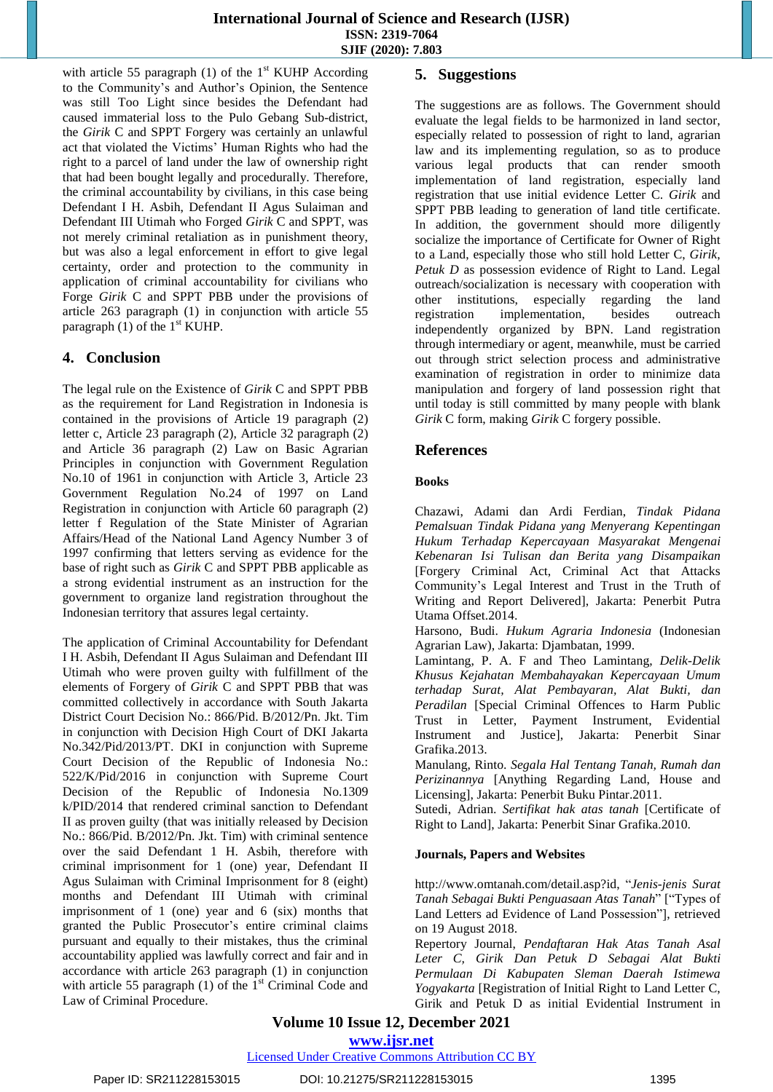with article 55 paragraph (1) of the  $1<sup>st</sup>$  KUHP According to the Community's and Author's Opinion, the Sentence was still Too Light since besides the Defendant had caused immaterial loss to the Pulo Gebang Sub-district, the *Girik* C and SPPT Forgery was certainly an unlawful act that violated the Victims' Human Rights who had the right to a parcel of land under the law of ownership right that had been bought legally and procedurally. Therefore, the criminal accountability by civilians, in this case being Defendant I H. Asbih, Defendant II Agus Sulaiman and Defendant III Utimah who Forged *Girik* C and SPPT, was not merely criminal retaliation as in punishment theory, but was also a legal enforcement in effort to give legal certainty, order and protection to the community in application of criminal accountability for civilians who Forge *Girik* C and SPPT PBB under the provisions of article 263 paragraph (1) in conjunction with article 55 paragraph  $(1)$  of the  $1<sup>st</sup>$  KUHP.

# **4. Conclusion**

The legal rule on the Existence of *Girik* C and SPPT PBB as the requirement for Land Registration in Indonesia is contained in the provisions of Article 19 paragraph (2) letter c, Article 23 paragraph (2), Article 32 paragraph (2) and Article 36 paragraph (2) Law on Basic Agrarian Principles in conjunction with Government Regulation No.10 of 1961 in conjunction with Article 3, Article 23 Government Regulation No.24 of 1997 on Land Registration in conjunction with Article 60 paragraph (2) letter f Regulation of the State Minister of Agrarian Affairs/Head of the National Land Agency Number 3 of 1997 confirming that letters serving as evidence for the base of right such as *Girik* C and SPPT PBB applicable as a strong evidential instrument as an instruction for the government to organize land registration throughout the Indonesian territory that assures legal certainty.

The application of Criminal Accountability for Defendant I H. Asbih, Defendant II Agus Sulaiman and Defendant III Utimah who were proven guilty with fulfillment of the elements of Forgery of *Girik* C and SPPT PBB that was committed collectively in accordance with South Jakarta District Court Decision No.: 866/Pid. B/2012/Pn. Jkt. Tim in conjunction with Decision High Court of DKI Jakarta No.342/Pid/2013/PT. DKI in conjunction with Supreme Court Decision of the Republic of Indonesia No.: 522/K/Pid/2016 in conjunction with Supreme Court Decision of the Republic of Indonesia No.1309 k/PID/2014 that rendered criminal sanction to Defendant II as proven guilty (that was initially released by Decision No.: 866/Pid. B/2012/Pn. Jkt. Tim) with criminal sentence over the said Defendant 1 H. Asbih, therefore with criminal imprisonment for 1 (one) year, Defendant II Agus Sulaiman with Criminal Imprisonment for 8 (eight) months and Defendant III Utimah with criminal imprisonment of 1 (one) year and 6 (six) months that granted the Public Prosecutor's entire criminal claims pursuant and equally to their mistakes, thus the criminal accountability applied was lawfully correct and fair and in accordance with article 263 paragraph (1) in conjunction with article 55 paragraph  $(1)$  of the 1<sup>st</sup> Criminal Code and Law of Criminal Procedure.

# **5. Suggestions**

The suggestions are as follows. The Government should evaluate the legal fields to be harmonized in land sector, especially related to possession of right to land, agrarian law and its implementing regulation, so as to produce various legal products that can render smooth implementation of land registration, especially land registration that use initial evidence Letter C. *Girik* and SPPT PBB leading to generation of land title certificate. In addition, the government should more diligently socialize the importance of Certificate for Owner of Right to a Land, especially those who still hold Letter C, *Girik*, *Petuk D* as possession evidence of Right to Land. Legal outreach/socialization is necessary with cooperation with other institutions, especially regarding the land registration implementation, besides outreach independently organized by BPN. Land registration through intermediary or agent, meanwhile, must be carried out through strict selection process and administrative examination of registration in order to minimize data manipulation and forgery of land possession right that until today is still committed by many people with blank *Girik* C form, making *Girik* C forgery possible.

# **References**

# **Books**

Chazawi, Adami dan Ardi Ferdian, *Tindak Pidana Pemalsuan Tindak Pidana yang Menyerang Kepentingan Hukum Terhadap Kepercayaan Masyarakat Mengenai Kebenaran Isi Tulisan dan Berita yang Disampaikan* [Forgery Criminal Act, Criminal Act that Attacks Community's Legal Interest and Trust in the Truth of Writing and Report Delivered], Jakarta: Penerbit Putra Utama Offset.2014.

Harsono, Budi. *Hukum Agraria Indonesia* (Indonesian Agrarian Law), Jakarta: Djambatan, 1999.

Lamintang, P. A. F and Theo Lamintang, *Delik-Delik Khusus Kejahatan Membahayakan Kepercayaan Umum terhadap Surat, Alat Pembayaran, Alat Bukti, dan Peradilan* [Special Criminal Offences to Harm Public Trust in Letter, Payment Instrument, Evidential Instrument and Justice], Jakarta: Penerbit Sinar Grafika.2013.

Manulang, Rinto. *Segala Hal Tentang Tanah, Rumah dan Perizinannya* [Anything Regarding Land, House and Licensing], Jakarta: Penerbit Buku Pintar.2011.

Sutedi, Adrian. *Sertifikat hak atas tanah* [Certificate of Right to Land], Jakarta: Penerbit Sinar Grafika.2010.

## **Journals, Papers and Websites**

http://www.omtanah.com/detail.asp?id, "*Jenis-jenis Surat Tanah Sebagai Bukti Penguasaan Atas Tanah*" ["Types of Land Letters ad Evidence of Land Possession"], retrieved on 19 August 2018.

Repertory Journal, *Pendaftaran Hak Atas Tanah Asal Leter C, Girik Dan Petuk D Sebagai Alat Bukti Permulaan Di Kabupaten Sleman Daerah Istimewa Yogyakarta* [Registration of Initial Right to Land Letter C, Girik and Petuk D as initial Evidential Instrument in

# **Volume 10 Issue 12, December 2021**

**www.ijsr.net**

# Licensed Under Creative Commons Attribution CC BY